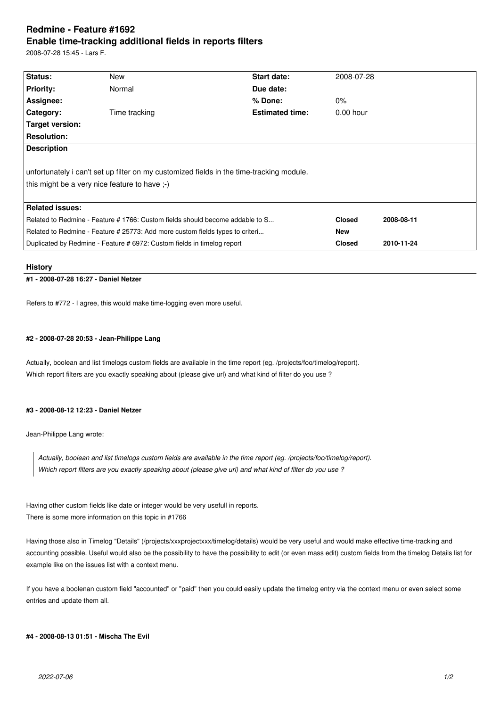# **Redmine - Feature #1692 Enable time-tracking additional fields in reports filters**

2008-07-28 15:45 - Lars F.

| Status:                                                                                  | New           | <b>Start date:</b>     | 2008-07-28    |            |
|------------------------------------------------------------------------------------------|---------------|------------------------|---------------|------------|
|                                                                                          |               |                        |               |            |
| <b>Priority:</b>                                                                         | Normal        | Due date:              |               |            |
| Assignee:                                                                                |               | % Done:                | $0\%$         |            |
| <b>Category:</b>                                                                         | Time tracking | <b>Estimated time:</b> | $0.00$ hour   |            |
| Target version:                                                                          |               |                        |               |            |
| <b>Resolution:</b>                                                                       |               |                        |               |            |
| <b>Description</b>                                                                       |               |                        |               |            |
|                                                                                          |               |                        |               |            |
| unfortunately i can't set up filter on my customized fields in the time-tracking module. |               |                        |               |            |
| this might be a very nice feature to have ;-)                                            |               |                        |               |            |
|                                                                                          |               |                        |               |            |
| <b>Related issues:</b>                                                                   |               |                        |               |            |
| Related to Redmine - Feature # 1766: Custom fields should become addable to S            |               |                        | <b>Closed</b> | 2008-08-11 |
| Related to Redmine - Feature # 25773: Add more custom fields types to criteri            |               |                        | <b>New</b>    |            |
| Duplicated by Redmine - Feature # 6972: Custom fields in timelog report                  |               |                        | <b>Closed</b> | 2010-11-24 |

#### **History**

# **#1 - 2008-07-28 16:27 - Daniel Netzer**

Refers to #772 - I agree, this would make time-logging even more useful.

#### **#2 - 2008-07-28 20:53 - Jean-Philippe Lang**

Actually, boolean and list timelogs custom fields are available in the time report (eg. /projects/foo/timelog/report). Which report filters are you exactly speaking about (please give url) and what kind of filter do you use ?

#### **#3 - 2008-08-12 12:23 - Daniel Netzer**

Jean-Philippe Lang wrote:

*Actually, boolean and list timelogs custom fields are available in the time report (eg. /projects/foo/timelog/report). Which report filters are you exactly speaking about (please give url) and what kind of filter do you use ?*

Having other custom fields like date or integer would be very usefull in reports. There is some more information on this topic in #1766

Having those also in Timelog "Details" (/projects/xxxprojectxxx/timelog/details) would be very useful and would make effective time-tracking and accounting possible. Useful would also be the possibility to have the possibility to edit (or even mass edit) custom fields from the timelog Details list for example like on the issues list with a context menu.

If you have a boolenan custom field "accounted" or "paid" then you could easily update the timelog entry via the context menu or even select some entries and update them all.

#### **#4 - 2008-08-13 01:51 - Mischa The Evil**